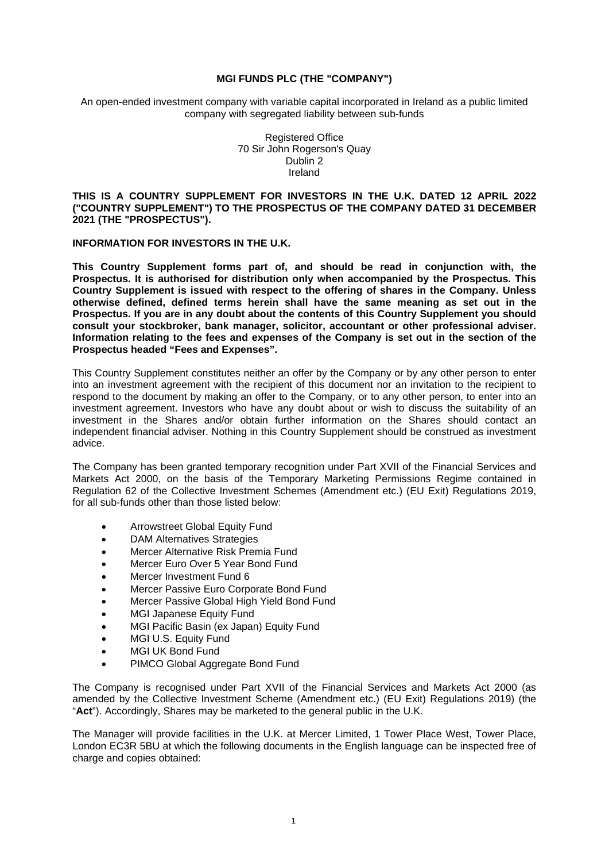## **MGI FUNDS PLC (THE "COMPANY")**

An open-ended investment company with variable capital incorporated in Ireland as a public limited company with segregated liability between sub-funds

> Registered Office 70 Sir John Rogerson's Quay Dublin 2 Ireland

**THIS IS A COUNTRY SUPPLEMENT FOR INVESTORS IN THE U.K. DATED 12 APRIL 2022 ("COUNTRY SUPPLEMENT") TO THE PROSPECTUS OF THE COMPANY DATED 31 DECEMBER 2021 (THE "PROSPECTUS").** 

### **INFORMATION FOR INVESTORS IN THE U.K.**

**This Country Supplement forms part of, and should be read in conjunction with, the Prospectus. It is authorised for distribution only when accompanied by the Prospectus. This Country Supplement is issued with respect to the offering of shares in the Company. Unless otherwise defined, defined terms herein shall have the same meaning as set out in the Prospectus. If you are in any doubt about the contents of this Country Supplement you should consult your stockbroker, bank manager, solicitor, accountant or other professional adviser. Information relating to the fees and expenses of the Company is set out in the section of the Prospectus headed "Fees and Expenses".** 

This Country Supplement constitutes neither an offer by the Company or by any other person to enter into an investment agreement with the recipient of this document nor an invitation to the recipient to respond to the document by making an offer to the Company, or to any other person, to enter into an investment agreement. Investors who have any doubt about or wish to discuss the suitability of an investment in the Shares and/or obtain further information on the Shares should contact an independent financial adviser. Nothing in this Country Supplement should be construed as investment advice.

The Company has been granted temporary recognition under Part XVII of the Financial Services and Markets Act 2000, on the basis of the Temporary Marketing Permissions Regime contained in Regulation 62 of the Collective Investment Schemes (Amendment etc.) (EU Exit) Regulations 2019, for all sub-funds other than those listed below:

- **•** Arrowstreet Global Equity Fund
- DAM Alternatives Strategies
- Mercer Alternative Risk Premia Fund
- Mercer Euro Over 5 Year Bond Fund
- Mercer Investment Fund 6
- Mercer Passive Euro Corporate Bond Fund
- Mercer Passive Global High Yield Bond Fund
- MGI Japanese Equity Fund
- MGI Pacific Basin (ex Japan) Equity Fund
- MGI U.S. Equity Fund
- MGI UK Bond Fund
- PIMCO Global Aggregate Bond Fund

The Company is recognised under Part XVII of the Financial Services and Markets Act 2000 (as amended by the Collective Investment Scheme (Amendment etc.) (EU Exit) Regulations 2019) (the "**Act**"). Accordingly, Shares may be marketed to the general public in the U.K.

The Manager will provide facilities in the U.K. at Mercer Limited, 1 Tower Place West, Tower Place, London EC3R 5BU at which the following documents in the English language can be inspected free of charge and copies obtained: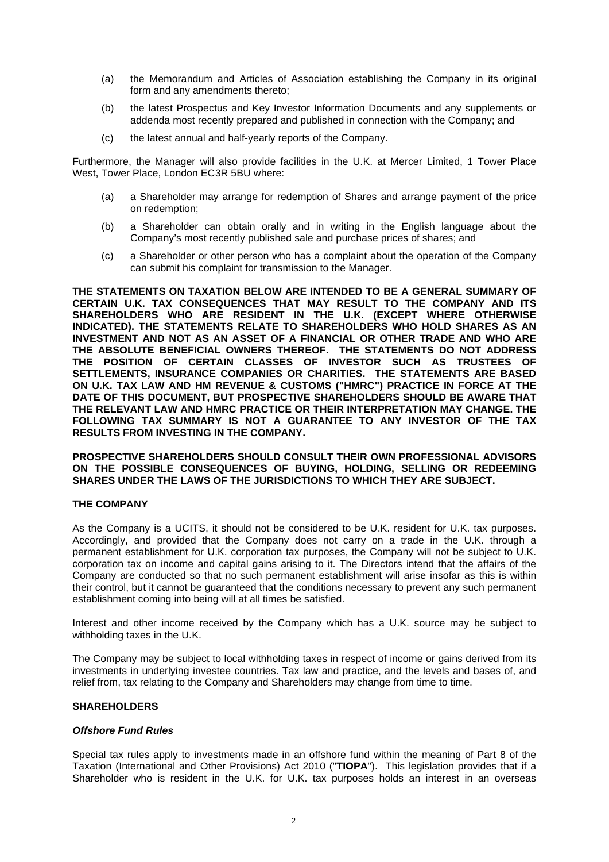- (a) the Memorandum and Articles of Association establishing the Company in its original form and any amendments thereto;
- (b) the latest Prospectus and Key Investor Information Documents and any supplements or addenda most recently prepared and published in connection with the Company; and
- (c) the latest annual and half-yearly reports of the Company.

Furthermore, the Manager will also provide facilities in the U.K. at Mercer Limited, 1 Tower Place West, Tower Place, London EC3R 5BU where:

- (a) a Shareholder may arrange for redemption of Shares and arrange payment of the price on redemption;
- (b) a Shareholder can obtain orally and in writing in the English language about the Company's most recently published sale and purchase prices of shares; and
- (c) a Shareholder or other person who has a complaint about the operation of the Company can submit his complaint for transmission to the Manager.

**THE STATEMENTS ON TAXATION BELOW ARE INTENDED TO BE A GENERAL SUMMARY OF CERTAIN U.K. TAX CONSEQUENCES THAT MAY RESULT TO THE COMPANY AND ITS SHAREHOLDERS WHO ARE RESIDENT IN THE U.K. (EXCEPT WHERE OTHERWISE INDICATED). THE STATEMENTS RELATE TO SHAREHOLDERS WHO HOLD SHARES AS AN INVESTMENT AND NOT AS AN ASSET OF A FINANCIAL OR OTHER TRADE AND WHO ARE THE ABSOLUTE BENEFICIAL OWNERS THEREOF. THE STATEMENTS DO NOT ADDRESS THE POSITION OF CERTAIN CLASSES OF INVESTOR SUCH AS TRUSTEES OF SETTLEMENTS, INSURANCE COMPANIES OR CHARITIES. THE STATEMENTS ARE BASED ON U.K. TAX LAW AND HM REVENUE & CUSTOMS ("HMRC") PRACTICE IN FORCE AT THE DATE OF THIS DOCUMENT, BUT PROSPECTIVE SHAREHOLDERS SHOULD BE AWARE THAT THE RELEVANT LAW AND HMRC PRACTICE OR THEIR INTERPRETATION MAY CHANGE. THE FOLLOWING TAX SUMMARY IS NOT A GUARANTEE TO ANY INVESTOR OF THE TAX RESULTS FROM INVESTING IN THE COMPANY.** 

**PROSPECTIVE SHAREHOLDERS SHOULD CONSULT THEIR OWN PROFESSIONAL ADVISORS ON THE POSSIBLE CONSEQUENCES OF BUYING, HOLDING, SELLING OR REDEEMING SHARES UNDER THE LAWS OF THE JURISDICTIONS TO WHICH THEY ARE SUBJECT.** 

### **THE COMPANY**

As the Company is a UCITS, it should not be considered to be U.K. resident for U.K. tax purposes. Accordingly, and provided that the Company does not carry on a trade in the U.K. through a permanent establishment for U.K. corporation tax purposes, the Company will not be subject to U.K. corporation tax on income and capital gains arising to it. The Directors intend that the affairs of the Company are conducted so that no such permanent establishment will arise insofar as this is within their control, but it cannot be guaranteed that the conditions necessary to prevent any such permanent establishment coming into being will at all times be satisfied.

Interest and other income received by the Company which has a U.K. source may be subject to withholding taxes in the U.K.

The Company may be subject to local withholding taxes in respect of income or gains derived from its investments in underlying investee countries. Tax law and practice, and the levels and bases of, and relief from, tax relating to the Company and Shareholders may change from time to time.

### **SHAREHOLDERS**

### *Offshore Fund Rules*

Special tax rules apply to investments made in an offshore fund within the meaning of Part 8 of the Taxation (International and Other Provisions) Act 2010 ("**TIOPA**"). This legislation provides that if a Shareholder who is resident in the U.K. for U.K. tax purposes holds an interest in an overseas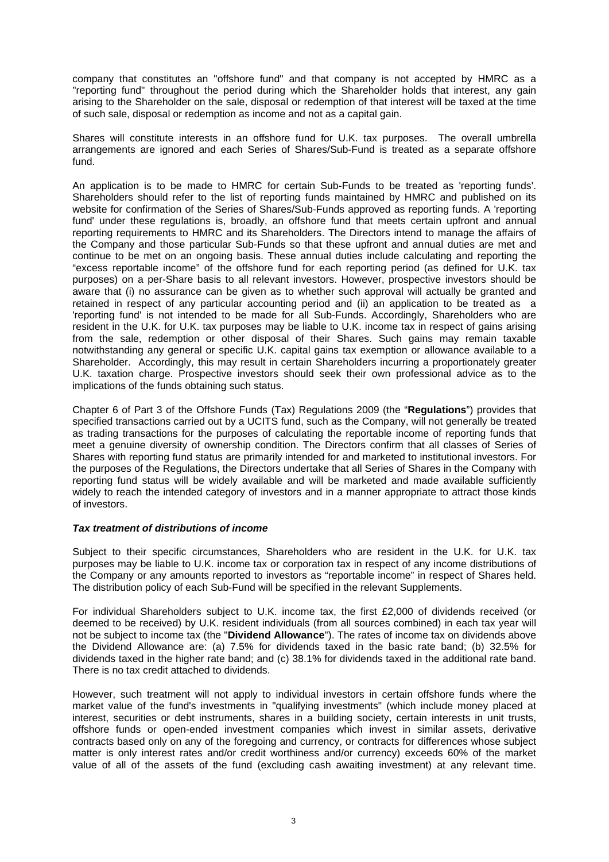company that constitutes an "offshore fund" and that company is not accepted by HMRC as a "reporting fund" throughout the period during which the Shareholder holds that interest, any gain arising to the Shareholder on the sale, disposal or redemption of that interest will be taxed at the time of such sale, disposal or redemption as income and not as a capital gain.

Shares will constitute interests in an offshore fund for U.K. tax purposes. The overall umbrella arrangements are ignored and each Series of Shares/Sub-Fund is treated as a separate offshore fund.

An application is to be made to HMRC for certain Sub-Funds to be treated as 'reporting funds'. Shareholders should refer to the list of reporting funds maintained by HMRC and published on its website for confirmation of the Series of Shares/Sub-Funds approved as reporting funds. A 'reporting fund' under these regulations is, broadly, an offshore fund that meets certain upfront and annual reporting requirements to HMRC and its Shareholders. The Directors intend to manage the affairs of the Company and those particular Sub-Funds so that these upfront and annual duties are met and continue to be met on an ongoing basis. These annual duties include calculating and reporting the "excess reportable income" of the offshore fund for each reporting period (as defined for U.K. tax purposes) on a per-Share basis to all relevant investors. However, prospective investors should be aware that (i) no assurance can be given as to whether such approval will actually be granted and retained in respect of any particular accounting period and (ii) an application to be treated as a 'reporting fund' is not intended to be made for all Sub-Funds. Accordingly, Shareholders who are resident in the U.K. for U.K. tax purposes may be liable to U.K. income tax in respect of gains arising from the sale, redemption or other disposal of their Shares. Such gains may remain taxable notwithstanding any general or specific U.K. capital gains tax exemption or allowance available to a Shareholder. Accordingly, this may result in certain Shareholders incurring a proportionately greater U.K. taxation charge. Prospective investors should seek their own professional advice as to the implications of the funds obtaining such status.

Chapter 6 of Part 3 of the Offshore Funds (Tax) Regulations 2009 (the "**Regulations**") provides that specified transactions carried out by a UCITS fund, such as the Company, will not generally be treated as trading transactions for the purposes of calculating the reportable income of reporting funds that meet a genuine diversity of ownership condition. The Directors confirm that all classes of Series of Shares with reporting fund status are primarily intended for and marketed to institutional investors. For the purposes of the Regulations, the Directors undertake that all Series of Shares in the Company with reporting fund status will be widely available and will be marketed and made available sufficiently widely to reach the intended category of investors and in a manner appropriate to attract those kinds of investors.

# *Tax treatment of distributions of income*

Subject to their specific circumstances, Shareholders who are resident in the U.K. for U.K. tax purposes may be liable to U.K. income tax or corporation tax in respect of any income distributions of the Company or any amounts reported to investors as "reportable income" in respect of Shares held. The distribution policy of each Sub-Fund will be specified in the relevant Supplements.

For individual Shareholders subject to U.K. income tax, the first £2,000 of dividends received (or deemed to be received) by U.K. resident individuals (from all sources combined) in each tax year will not be subject to income tax (the "**Dividend Allowance**"). The rates of income tax on dividends above the Dividend Allowance are: (a) 7.5% for dividends taxed in the basic rate band; (b) 32.5% for dividends taxed in the higher rate band; and (c) 38.1% for dividends taxed in the additional rate band. There is no tax credit attached to dividends.

However, such treatment will not apply to individual investors in certain offshore funds where the market value of the fund's investments in "qualifying investments" (which include money placed at interest, securities or debt instruments, shares in a building society, certain interests in unit trusts, offshore funds or open-ended investment companies which invest in similar assets, derivative contracts based only on any of the foregoing and currency, or contracts for differences whose subject matter is only interest rates and/or credit worthiness and/or currency) exceeds 60% of the market value of all of the assets of the fund (excluding cash awaiting investment) at any relevant time.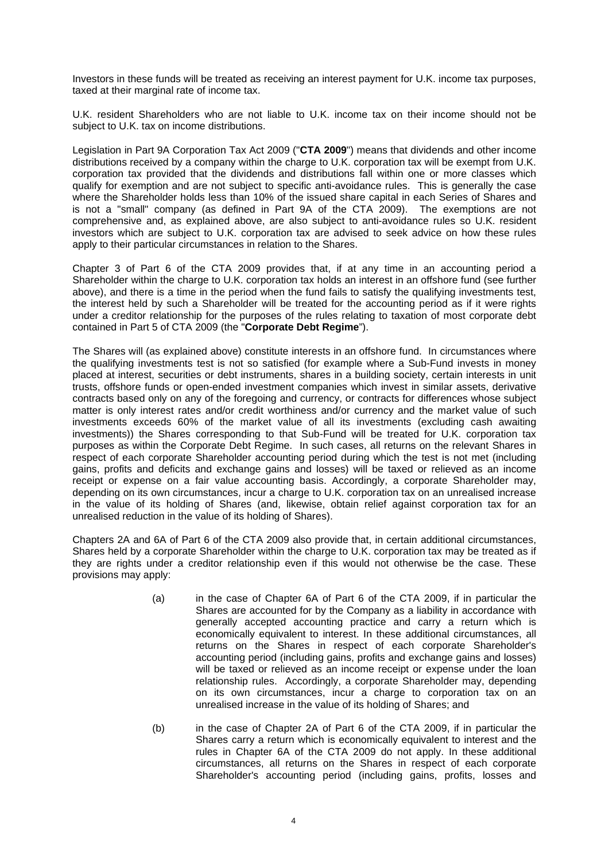Investors in these funds will be treated as receiving an interest payment for U.K. income tax purposes, taxed at their marginal rate of income tax.

U.K. resident Shareholders who are not liable to U.K. income tax on their income should not be subject to U.K. tax on income distributions.

Legislation in Part 9A Corporation Tax Act 2009 ("**CTA 2009**") means that dividends and other income distributions received by a company within the charge to U.K. corporation tax will be exempt from U.K. corporation tax provided that the dividends and distributions fall within one or more classes which qualify for exemption and are not subject to specific anti-avoidance rules. This is generally the case where the Shareholder holds less than 10% of the issued share capital in each Series of Shares and is not a "small" company (as defined in Part 9A of the CTA 2009). The exemptions are not comprehensive and, as explained above, are also subject to anti-avoidance rules so U.K. resident investors which are subject to U.K. corporation tax are advised to seek advice on how these rules apply to their particular circumstances in relation to the Shares.

Chapter 3 of Part 6 of the CTA 2009 provides that, if at any time in an accounting period a Shareholder within the charge to U.K. corporation tax holds an interest in an offshore fund (see further above), and there is a time in the period when the fund fails to satisfy the qualifying investments test, the interest held by such a Shareholder will be treated for the accounting period as if it were rights under a creditor relationship for the purposes of the rules relating to taxation of most corporate debt contained in Part 5 of CTA 2009 (the "**Corporate Debt Regime**").

The Shares will (as explained above) constitute interests in an offshore fund. In circumstances where the qualifying investments test is not so satisfied (for example where a Sub-Fund invests in money placed at interest, securities or debt instruments, shares in a building society, certain interests in unit trusts, offshore funds or open-ended investment companies which invest in similar assets, derivative contracts based only on any of the foregoing and currency, or contracts for differences whose subject matter is only interest rates and/or credit worthiness and/or currency and the market value of such investments exceeds 60% of the market value of all its investments (excluding cash awaiting investments)) the Shares corresponding to that Sub-Fund will be treated for U.K. corporation tax purposes as within the Corporate Debt Regime. In such cases, all returns on the relevant Shares in respect of each corporate Shareholder accounting period during which the test is not met (including gains, profits and deficits and exchange gains and losses) will be taxed or relieved as an income receipt or expense on a fair value accounting basis. Accordingly, a corporate Shareholder may, depending on its own circumstances, incur a charge to U.K. corporation tax on an unrealised increase in the value of its holding of Shares (and, likewise, obtain relief against corporation tax for an unrealised reduction in the value of its holding of Shares).

Chapters 2A and 6A of Part 6 of the CTA 2009 also provide that, in certain additional circumstances, Shares held by a corporate Shareholder within the charge to U.K. corporation tax may be treated as if they are rights under a creditor relationship even if this would not otherwise be the case. These provisions may apply:

- (a) in the case of Chapter 6A of Part 6 of the CTA 2009, if in particular the Shares are accounted for by the Company as a liability in accordance with generally accepted accounting practice and carry a return which is economically equivalent to interest. In these additional circumstances, all returns on the Shares in respect of each corporate Shareholder's accounting period (including gains, profits and exchange gains and losses) will be taxed or relieved as an income receipt or expense under the loan relationship rules. Accordingly, a corporate Shareholder may, depending on its own circumstances, incur a charge to corporation tax on an unrealised increase in the value of its holding of Shares; and
- (b) in the case of Chapter 2A of Part 6 of the CTA 2009, if in particular the Shares carry a return which is economically equivalent to interest and the rules in Chapter 6A of the CTA 2009 do not apply. In these additional circumstances, all returns on the Shares in respect of each corporate Shareholder's accounting period (including gains, profits, losses and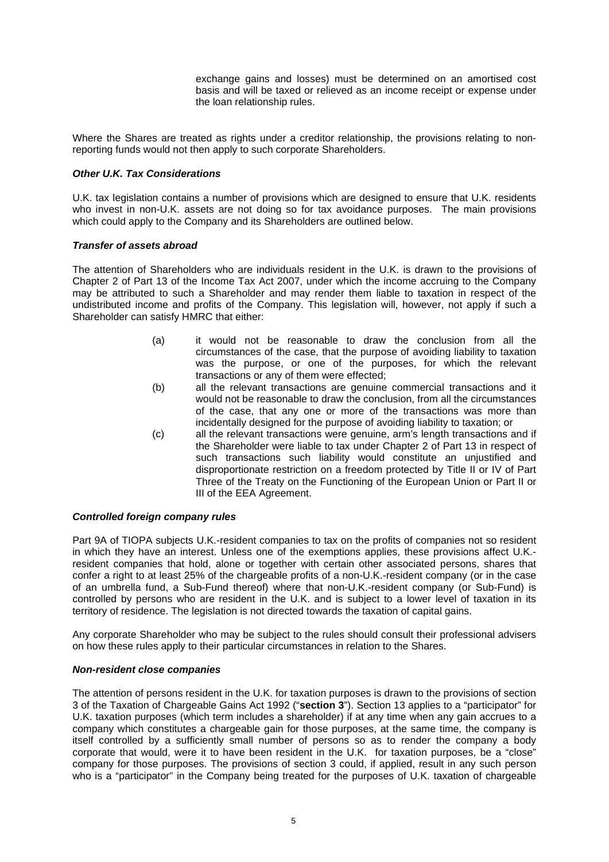exchange gains and losses) must be determined on an amortised cost basis and will be taxed or relieved as an income receipt or expense under the loan relationship rules.

Where the Shares are treated as rights under a creditor relationship, the provisions relating to nonreporting funds would not then apply to such corporate Shareholders.

# *Other U.K. Tax Considerations*

U.K. tax legislation contains a number of provisions which are designed to ensure that U.K. residents who invest in non-U.K. assets are not doing so for tax avoidance purposes. The main provisions which could apply to the Company and its Shareholders are outlined below.

### *Transfer of assets abroad*

The attention of Shareholders who are individuals resident in the U.K. is drawn to the provisions of Chapter 2 of Part 13 of the Income Tax Act 2007, under which the income accruing to the Company may be attributed to such a Shareholder and may render them liable to taxation in respect of the undistributed income and profits of the Company. This legislation will, however, not apply if such a Shareholder can satisfy HMRC that either:

- (a) it would not be reasonable to draw the conclusion from all the circumstances of the case, that the purpose of avoiding liability to taxation was the purpose, or one of the purposes, for which the relevant transactions or any of them were effected;
- (b) all the relevant transactions are genuine commercial transactions and it would not be reasonable to draw the conclusion, from all the circumstances of the case, that any one or more of the transactions was more than incidentally designed for the purpose of avoiding liability to taxation; or
- (c) all the relevant transactions were genuine, arm's length transactions and if the Shareholder were liable to tax under Chapter 2 of Part 13 in respect of such transactions such liability would constitute an unjustified and disproportionate restriction on a freedom protected by Title II or IV of Part Three of the Treaty on the Functioning of the European Union or Part II or III of the EEA Agreement.

### *Controlled foreign company rules*

Part 9A of TIOPA subjects U.K.-resident companies to tax on the profits of companies not so resident in which they have an interest. Unless one of the exemptions applies, these provisions affect U.K. resident companies that hold, alone or together with certain other associated persons, shares that confer a right to at least 25% of the chargeable profits of a non-U.K.-resident company (or in the case of an umbrella fund, a Sub-Fund thereof) where that non-U.K.-resident company (or Sub-Fund) is controlled by persons who are resident in the U.K. and is subject to a lower level of taxation in its territory of residence. The legislation is not directed towards the taxation of capital gains.

Any corporate Shareholder who may be subject to the rules should consult their professional advisers on how these rules apply to their particular circumstances in relation to the Shares.

### *Non-resident close companies*

The attention of persons resident in the U.K. for taxation purposes is drawn to the provisions of section 3 of the Taxation of Chargeable Gains Act 1992 ("**section 3**"). Section 13 applies to a "participator" for U.K. taxation purposes (which term includes a shareholder) if at any time when any gain accrues to a company which constitutes a chargeable gain for those purposes, at the same time, the company is itself controlled by a sufficiently small number of persons so as to render the company a body corporate that would, were it to have been resident in the U.K. for taxation purposes, be a "close" company for those purposes. The provisions of section 3 could, if applied, result in any such person who is a "participator" in the Company being treated for the purposes of U.K. taxation of chargeable